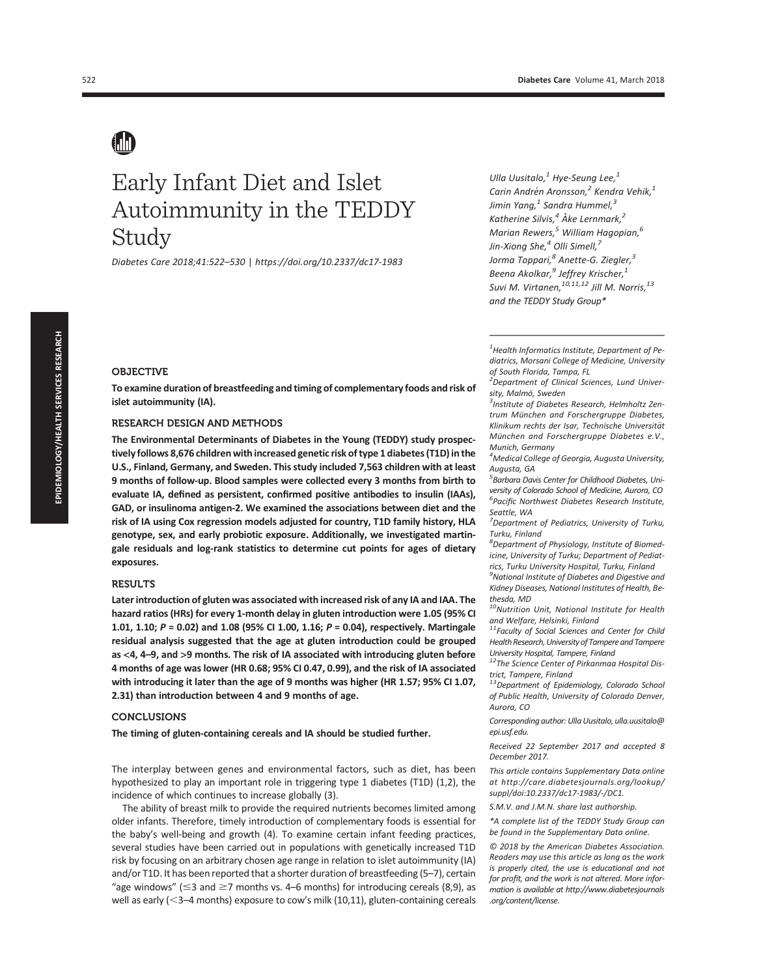# Early Infant Diet and Islet Autoimmunity in the TEDDY Study

Diabetes Care 2018;41:522–530 | https://doi.org/10.2337/dc17-1983

Ulla Uusitalo, $1$  Hye-Seung Lee, $1$ Carin Andrén Aronsson,<sup>2</sup> Kendra Vehik,<sup>1</sup> Jimin Yang, $^1$  Sandra Hummel, $^3$ Katherine Silvis, $4\text{ Å}$ ke Lernmark, $2$ Marian Rewers, $^5$  William Hagopian, $^6$ Jin-Xiong She, $^4$  Olli Simell, $^7$ Jorma Toppari,<sup>8</sup> Anette-G. Ziegler,<sup>3</sup> Beena Akolkar,<sup>9</sup> Jeffrey Krischer,<sup>1</sup> Suvi M. Virtanen,  $^{10,11,12}$  Jill M. Norris,  $^{13}$ and the TEDDY Study Group\*

 $<sup>1</sup>$ Health Informatics Institute, Department of Pe-</sup> diatrics, Morsani College of Medicine, University of South Florida, Tampa, FL

#### <sup>2</sup>Department of Clinical Sciences, Lund University, Malmö, Sweden

<sup>3</sup>Institute of Diabetes Research, Helmholtz Zentrum München and Forschergruppe Diabetes, Klinikum rechts der Isar, Technische Universität München and Forschergruppe Diabetes e.V., Munich, Germany

4 Medical College of Georgia, Augusta University, Augusta, GA

5 Barbara Davis Center for Childhood Diabetes, University of Colorado School of Medicine, Aurora, CO 6 Pacific Northwest Diabetes Research Institute, Seattle, WA

<sup>7</sup>Department of Pediatrics, University of Turku, Turku, Finland

 ${}^{8}$ Department of Physiology, Institute of Biomedicine, University of Turku; Department of Pediatrics, Turku University Hospital, Turku, Finland

 $^9$ National Institute of Diabetes and Digestive and Kidney Diseases, National Institutes of Health, Bethesda, MD

<sup>10</sup>Nutrition Unit, National Institute for Health and Welfare, Helsinki, Finland

<sup>11</sup> Faculty of Social Sciences and Center for Child Health Research, University of Tampere and Tampere University Hospital, Tampere, Finland

<sup>12</sup>The Science Center of Pirkanmaa Hospital District, Tampere, Finland

<sup>13</sup>Department of Epidemiology, Colorado School of Public Health, University of Colorado Denver, Aurora, CO

Corresponding author: Ulla Uusitalo, ulla.uusitalo@ epi.usf.edu.

Received 22 September 2017 and accepted 8 December 2017.

This article contains Supplementary Data online at http://care.diabetesjournals.org/lookup/ suppl/doi:10.2337/dc17-1983/-/DC1.

S.M.V. and J.M.N. share last authorship.

\*A complete list of the TEDDY Study Group can be found in the Supplementary Data online.

© 2018 by the American Diabetes Association. Readers may use this article as long as the work is properly cited, the use is educational and not for profit, and the work is not altered. More information is available at http://www.diabetesjournals .org/content/license.

#### OBJECTIVE

To examine duration of breastfeeding and timing of complementary foods and risk of islet autoimmunity (IA).

#### RESEARCH DESIGN AND METHODS

The Environmental Determinants of Diabetes in the Young (TEDDY) study prospectively follows 8,676 children with increased genetic risk of type 1 diabetes (T1D) in the U.S., Finland, Germany, and Sweden. This study included 7,563 children with at least 9 months of follow-up. Blood samples were collected every 3 months from birth to evaluate IA, defined as persistent, confirmed positive antibodies to insulin (IAAs), GAD, or insulinoma antigen-2. We examined the associations between diet and the risk of IA using Cox regression models adjusted for country, T1D family history, HLA genotype, sex, and early probiotic exposure. Additionally, we investigated martingale residuals and log-rank statistics to determine cut points for ages of dietary exposures.

#### RESULTS

Later introduction of gluten was associated with increased risk of any IA and IAA. The hazard ratios (HRs) for every 1-month delay in gluten introduction were 1.05 (95% CI 1.01, 1.10;  $P = 0.02$ ) and 1.08 (95% CI 1.00, 1.16;  $P = 0.04$ ), respectively. Martingale residual analysis suggested that the age at gluten introduction could be grouped as <4, 4–9, and >9 months. The risk of IA associated with introducing gluten before 4 months of age was lower (HR 0.68; 95% CI 0.47, 0.99), and the risk of IA associated with introducing it later than the age of 9 months was higher (HR 1.57; 95% CI 1.07, 2.31) than introduction between 4 and 9 months of age.

#### CONCLUSIONS

The timing of gluten-containing cereals and IA should be studied further.

The interplay between genes and environmental factors, such as diet, has been hypothesized to play an important role in triggering type 1 diabetes (T1D) (1,2), the incidence of which continues to increase globally (3).

The ability of breast milk to provide the required nutrients becomes limited among older infants. Therefore, timely introduction of complementary foods is essential for the baby's well-being and growth (4). To examine certain infant feeding practices, several studies have been carried out in populations with genetically increased T1D risk by focusing on an arbitrary chosen age range in relation to islet autoimmunity (IA) and/or T1D. It has been reported that a shorter duration of breastfeeding (5–7), certain "age windows" ( $\leq$ 3 and  $\geq$ 7 months vs. 4–6 months) for introducing cereals (8,9), as well as early ( $\leq$ 3–4 months) exposure to cow's milk (10,11), gluten-containing cereals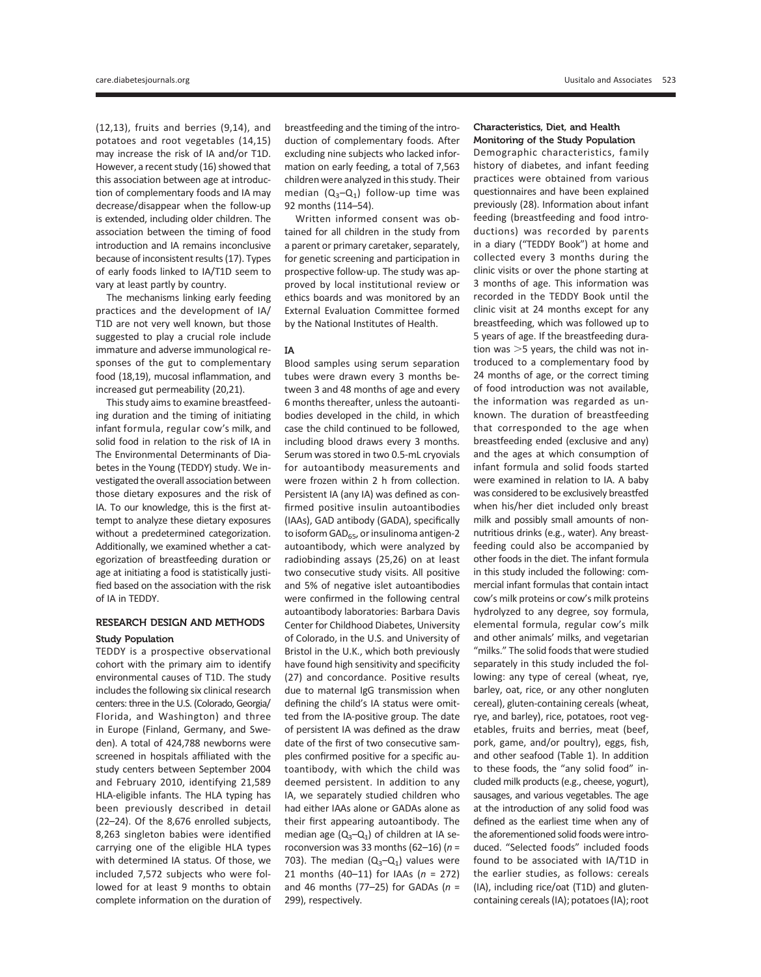(12,13), fruits and berries (9,14), and potatoes and root vegetables (14,15) may increase the risk of IA and/or T1D. However, a recent study (16) showed that this association between age at introduction of complementary foods and IA may decrease/disappear when the follow-up is extended, including older children. The association between the timing of food introduction and IA remains inconclusive because of inconsistent results (17). Types of early foods linked to IA/T1D seem to vary at least partly by country.

The mechanisms linking early feeding practices and the development of IA/ T1D are not very well known, but those suggested to play a crucial role include immature and adverse immunological responses of the gut to complementary food (18,19), mucosal inflammation, and increased gut permeability (20,21).

This study aims to examine breastfeeding duration and the timing of initiating infant formula, regular cow's milk, and solid food in relation to the risk of IA in The Environmental Determinants of Diabetes in the Young (TEDDY) study. We investigated the overall association between those dietary exposures and the risk of IA. To our knowledge, this is the first attempt to analyze these dietary exposures without a predetermined categorization. Additionally, we examined whether a categorization of breastfeeding duration or age at initiating a food is statistically justified based on the association with the risk of IA in TEDDY.

#### RESEARCH DESIGN AND METHODS

#### Study Population

TEDDY is a prospective observational cohort with the primary aim to identify environmental causes of T1D. The study includes the following six clinical research centers: three in the U.S. (Colorado, Georgia/ Florida, and Washington) and three in Europe (Finland, Germany, and Sweden). A total of 424,788 newborns were screened in hospitals affiliated with the study centers between September 2004 and February 2010, identifying 21,589 HLA-eligible infants. The HLA typing has been previously described in detail (22–24). Of the 8,676 enrolled subjects, 8,263 singleton babies were identified carrying one of the eligible HLA types with determined IA status. Of those, we included 7,572 subjects who were followed for at least 9 months to obtain complete information on the duration of

breastfeeding and the timing of the introduction of complementary foods. After excluding nine subjects who lacked information on early feeding, a total of 7,563 children were analyzed in this study. Their median  $(Q_3-Q_1)$  follow-up time was 92 months (114–54).

Written informed consent was obtained for all children in the study from a parent or primary caretaker, separately, for genetic screening and participation in prospective follow-up. The study was approved by local institutional review or ethics boards and was monitored by an External Evaluation Committee formed by the National Institutes of Health.

#### IA

Blood samples using serum separation tubes were drawn every 3 months between 3 and 48 months of age and every 6 months thereafter, unless the autoantibodies developed in the child, in which case the child continued to be followed, including blood draws every 3 months. Serum was stored in two 0.5-mL cryovials for autoantibody measurements and were frozen within 2 h from collection. Persistent IA (any IA) was defined as confirmed positive insulin autoantibodies (IAAs), GAD antibody (GADA), specifically to isoform GAD $_{65}$ , or insulinoma antigen-2 autoantibody, which were analyzed by radiobinding assays (25,26) on at least two consecutive study visits. All positive and 5% of negative islet autoantibodies were confirmed in the following central autoantibody laboratories: Barbara Davis Center for Childhood Diabetes, University of Colorado, in the U.S. and University of Bristol in the U.K., which both previously have found high sensitivity and specificity (27) and concordance. Positive results due to maternal IgG transmission when defining the child's IA status were omitted from the IA-positive group. The date of persistent IA was defined as the draw date of the first of two consecutive samples confirmed positive for a specific autoantibody, with which the child was deemed persistent. In addition to any IA, we separately studied children who had either IAAs alone or GADAs alone as their first appearing autoantibody. The median age  $(Q_3-Q_1)$  of children at IA seroconversion was 33 months (62-16) ( $n =$ 703). The median  $(Q_3-Q_1)$  values were 21 months (40–11) for IAAs ( $n = 272$ ) and 46 months (77–25) for GADAs ( $n =$ 299), respectively.

#### Characteristics, Diet, and Health Monitoring of the Study Population

Demographic characteristics, family history of diabetes, and infant feeding practices were obtained from various questionnaires and have been explained previously (28). Information about infant feeding (breastfeeding and food introductions) was recorded by parents in a diary ("TEDDY Book") at home and collected every 3 months during the clinic visits or over the phone starting at 3 months of age. This information was recorded in the TEDDY Book until the clinic visit at 24 months except for any breastfeeding, which was followed up to 5 years of age. If the breastfeeding duration was  $>5$  years, the child was not introduced to a complementary food by 24 months of age, or the correct timing of food introduction was not available, the information was regarded as unknown. The duration of breastfeeding that corresponded to the age when breastfeeding ended (exclusive and any) and the ages at which consumption of infant formula and solid foods started were examined in relation to IA. A baby was considered to be exclusively breastfed when his/her diet included only breast milk and possibly small amounts of nonnutritious drinks (e.g., water). Any breastfeeding could also be accompanied by other foods in the diet. The infant formula in this study included the following: commercial infant formulas that contain intact cow's milk proteins or cow's milk proteins hydrolyzed to any degree, soy formula, elemental formula, regular cow's milk and other animals' milks, and vegetarian "milks." The solid foods that were studied separately in this study included the following: any type of cereal (wheat, rye, barley, oat, rice, or any other nongluten cereal), gluten-containing cereals (wheat, rye, and barley), rice, potatoes, root vegetables, fruits and berries, meat (beef, pork, game, and/or poultry), eggs, fish, and other seafood (Table 1). In addition to these foods, the "any solid food" included milk products (e.g., cheese, yogurt), sausages, and various vegetables. The age at the introduction of any solid food was defined as the earliest time when any of the aforementioned solid foods were introduced. "Selected foods" included foods found to be associated with IA/T1D in the earlier studies, as follows: cereals (IA), including rice/oat (T1D) and glutencontaining cereals (IA); potatoes (IA); root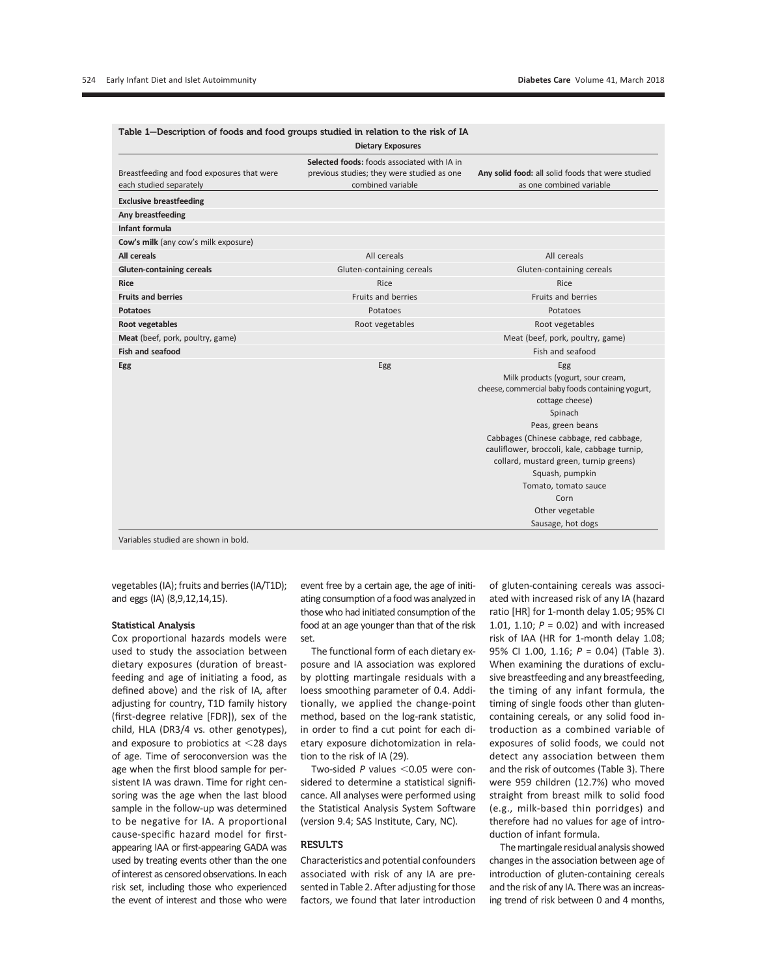|                                                                       | <b>Dietary Exposures</b>                                                                                       |                                                                                                                                                                                                                              |
|-----------------------------------------------------------------------|----------------------------------------------------------------------------------------------------------------|------------------------------------------------------------------------------------------------------------------------------------------------------------------------------------------------------------------------------|
| Breastfeeding and food exposures that were<br>each studied separately | Selected foods: foods associated with IA in<br>previous studies; they were studied as one<br>combined variable | Any solid food: all solid foods that were studied<br>as one combined variable                                                                                                                                                |
| <b>Exclusive breastfeeding</b>                                        |                                                                                                                |                                                                                                                                                                                                                              |
| Any breastfeeding                                                     |                                                                                                                |                                                                                                                                                                                                                              |
| Infant formula                                                        |                                                                                                                |                                                                                                                                                                                                                              |
| Cow's milk (any cow's milk exposure)                                  |                                                                                                                |                                                                                                                                                                                                                              |
| All cereals                                                           | All cereals                                                                                                    | All cereals                                                                                                                                                                                                                  |
| <b>Gluten-containing cereals</b>                                      | Gluten-containing cereals                                                                                      | Gluten-containing cereals                                                                                                                                                                                                    |
| <b>Rice</b>                                                           | Rice                                                                                                           | Rice                                                                                                                                                                                                                         |
| <b>Fruits and berries</b>                                             | Fruits and berries                                                                                             | Fruits and berries                                                                                                                                                                                                           |
| <b>Potatoes</b>                                                       | Potatoes                                                                                                       | Potatoes                                                                                                                                                                                                                     |
| <b>Root vegetables</b>                                                | Root vegetables                                                                                                | Root vegetables                                                                                                                                                                                                              |
| Meat (beef, pork, poultry, game)                                      |                                                                                                                | Meat (beef, pork, poultry, game)                                                                                                                                                                                             |
| <b>Fish and seafood</b>                                               |                                                                                                                | Fish and seafood                                                                                                                                                                                                             |
| Egg                                                                   | Egg                                                                                                            | Egg<br>Milk products (yogurt, sour cream,<br>cheese, commercial baby foods containing yogurt,<br>cottage cheese)<br>Spinach                                                                                                  |
|                                                                       |                                                                                                                | Peas, green beans<br>Cabbages (Chinese cabbage, red cabbage,<br>cauliflower, broccoli, kale, cabbage turnip,<br>collard, mustard green, turnip greens)<br>Squash, pumpkin<br>Tomato, tomato sauce<br>Corn<br>Other vegetable |
|                                                                       |                                                                                                                | Sausage, hot dogs                                                                                                                                                                                                            |

Variables studied are shown in bold.

vegetables (IA); fruits and berries (IA/T1D); and eggs (IA) (8,9,12,14,15).

#### Statistical Analysis

Cox proportional hazards models were used to study the association between dietary exposures (duration of breastfeeding and age of initiating a food, as defined above) and the risk of IA, after adjusting for country, T1D family history (first-degree relative [FDR]), sex of the child, HLA (DR3/4 vs. other genotypes), and exposure to probiotics at  $\leq$ 28 days of age. Time of seroconversion was the age when the first blood sample for persistent IA was drawn. Time for right censoring was the age when the last blood sample in the follow-up was determined to be negative for IA. A proportional cause-specific hazard model for firstappearing IAA or first-appearing GADA was used by treating events other than the one of interest as censored observations. In each risk set, including those who experienced the event of interest and those who were

event free by a certain age, the age of initiating consumption of a food was analyzed in those who had initiated consumption of the food at an age younger than that of the risk set.

The functional form of each dietary exposure and IA association was explored by plotting martingale residuals with a loess smoothing parameter of 0.4. Additionally, we applied the change-point method, based on the log-rank statistic, in order to find a cut point for each dietary exposure dichotomization in relation to the risk of IA (29).

Two-sided  $P$  values <0.05 were considered to determine a statistical significance. All analyses were performed using the Statistical Analysis System Software (version 9.4; SAS Institute, Cary, NC).

### **RESULTS**

Characteristics and potential confounders associated with risk of any IA are presented in Table 2. After adjusting for those factors, we found that later introduction of gluten-containing cereals was associated with increased risk of any IA (hazard ratio [HR] for 1-month delay 1.05; 95% CI 1.01, 1.10;  $P = 0.02$ ) and with increased risk of IAA (HR for 1-month delay 1.08; 95% CI 1.00, 1.16; P = 0.04) (Table 3). When examining the durations of exclusive breastfeeding and any breastfeeding, the timing of any infant formula, the timing of single foods other than glutencontaining cereals, or any solid food introduction as a combined variable of exposures of solid foods, we could not detect any association between them and the risk of outcomes (Table 3). There were 959 children (12.7%) who moved straight from breast milk to solid food (e.g., milk-based thin porridges) and therefore had no values for age of introduction of infant formula.

The martingale residual analysis showed changes in the association between age of introduction of gluten-containing cereals and the risk of any IA. There was an increasing trend of risk between 0 and 4 months,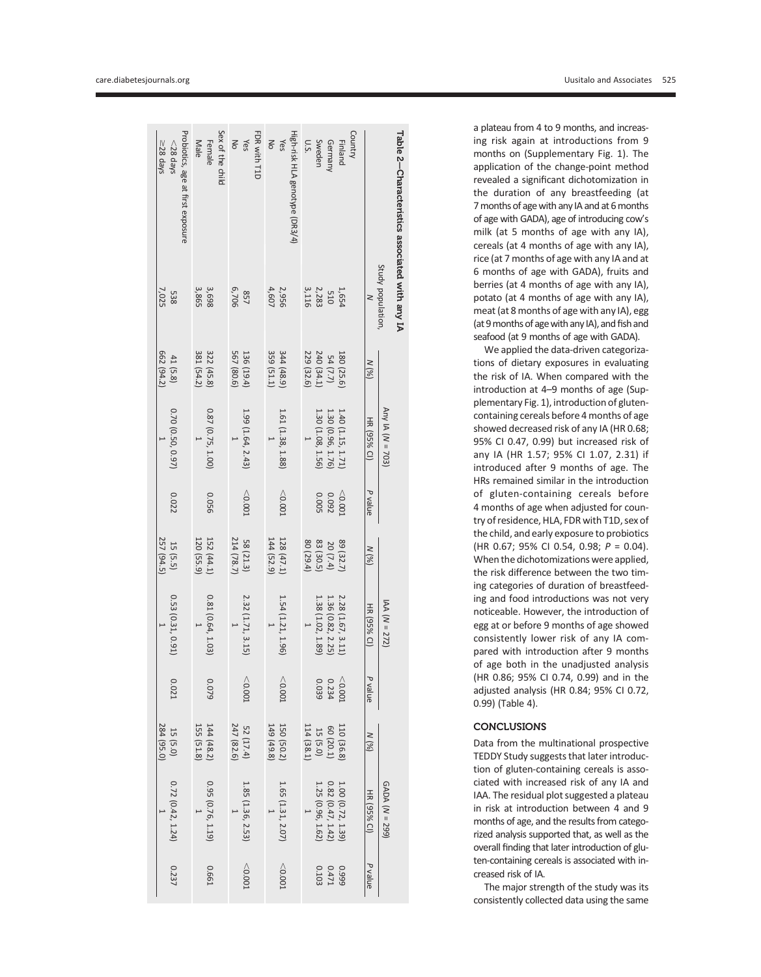|         |                                                                                                                               | 257 (94.5)            |                |                                                                                                  | 662 (94.2)              | 538<br>7,025                                                  | $\geq$ 28 days                                   |
|---------|-------------------------------------------------------------------------------------------------------------------------------|-----------------------|----------------|--------------------------------------------------------------------------------------------------|-------------------------|---------------------------------------------------------------|--------------------------------------------------|
| 0.021   | 0.53 (0.31, 0.91)                                                                                                             | 15 (5.5)              | 0.022          | 0.70 (0.50, 0.97)                                                                                | 41 (5.8)                |                                                               | Probiotics, age at first exposure<br>$<$ 28 days |
|         |                                                                                                                               | 120 (55.9)            |                |                                                                                                  | 381 (54.2)              | 3,865                                                         | Male                                             |
| 6200    | 0.81 (0.64, 1.03)                                                                                                             | 152 (44.1)            | 0.056          | $0.87 (0.75, 1.00)$                                                                              | 322 (45.8)              | 3,698                                                         | Female                                           |
|         |                                                                                                                               |                       |                |                                                                                                  |                         |                                                               | Sex of the child                                 |
|         |                                                                                                                               | 214 (78.7             |                | $\overline{a}$                                                                                   | 567 (80.6)              | 857<br>6,706                                                  |                                                  |
| 10000   | 2.32 (1.71, 3.15)                                                                                                             | 58 (21.3)             | < 0.001        | 1.99 (1.64, 2.43)                                                                                | 136 (19.4)              |                                                               | $\frac{1}{2}$ is                                 |
|         |                                                                                                                               |                       |                |                                                                                                  |                         |                                                               | FDR with T1D                                     |
|         |                                                                                                                               | 144 (52.9)            |                | $\overline{1}$                                                                                   | 359 (51.1)              | 4,607                                                         | No                                               |
| 10000   | 1.54 (1<br>.21, 1.96                                                                                                          | 128 (47.1)            | < 0.001        | 1.61 (1.38, 1.88)                                                                                | 344(48.9)               | 2,956                                                         | Yes                                              |
|         |                                                                                                                               |                       |                |                                                                                                  |                         |                                                               | High-risk HLA genotype (DR3/4)                   |
|         |                                                                                                                               | 80 (29.4)             |                | $\overline{1}$                                                                                   | 229 (32.6)              |                                                               | US.                                              |
| 0.039   | $\begin{array}{l} 2.28 \ (1.67, 3.11) \\ 1.36 \ (0.82, \ 2.25) \\ 1.38 \ (1.02, \ 1.89) \\ 1.38 \ (1.02, \ 1.89) \end{array}$ | 20 (7.4)<br>83 (30.5) |                | $\begin{array}{c} 1.40\ (1.15,\,1.71) \\ 1.30\ (0.96,\,1.76) \\ 1.30\ (0.96,\,1.76) \end{array}$ | $54(7.7)$<br>240 (34.1) | $\begin{array}{c} 1,654 \\ 510 \\ 2,283 \\ 3,116 \end{array}$ | Sweden                                           |
| 0.234   |                                                                                                                               |                       | 0.092<br>0.005 |                                                                                                  |                         |                                                               | Germany                                          |
| < 0.001 |                                                                                                                               | 89 (32.7              | < 0.002        |                                                                                                  | 180 (25.6)              |                                                               | Country<br>Finland                               |
|         |                                                                                                                               |                       |                |                                                                                                  |                         |                                                               |                                                  |

Table 2Characteristicsassociated with any IA Study population,

N

N (%)

HR (95% CI)

P value

 $(%)N$ 

HR (95% CI)

P value

 $(%)N$ 

HR (95% CI)

1.00 (0.72, 1.39)

0.82 (0.47, 1.42)

 $\overline{\phantom{0}}$ 

1.65 (1.31, 2.07)

 $\overline{\phantom{0}}$ 

1.85 (1.36, 2.53)

 $\overline{\phantom{0}}$ 

 $\overline{\phantom{0}}$ 

0.72 (0.42, 1.24)

 $\overline{\phantom{0}}$ 

0.237

0.95 (0.76, 1.19)

0.661

,0.001

,0.001

1.25 (0.96,

1.62)

0.103

0.999

0.471

P value

Any IA (N = 703)

IAA (N = 272)

GADA (N = 299)

a plateau from 4 to 9 months, and increasing risk again at introductions from 9 months on (Supplementary Fig. 1). The application of the change-point method revealed a signi ficant dichotomization in the duration of any breastfeeding (at 7 months of age with any IA and at 6 months of age with GADA), age of introducing cow' s milk (at 5 months of age with any IA), cereals (at 4 months of age with any IA), rice (at 7 months of age with any IA and at 6 months of age with GADA), fruits and berries (at 4 months of age with any IA), potato (at 4 months of age with any IA), meat (at 8 months of age with any IA), egg (at 9 months of age with any IA), and fish and seafood (at 9 months of age with GADA).

We applied the data-driven categorizations of dietary exposures in evaluating the risk of IA. When compared with the introduction at 4 –9 months of age (Supplementary Fig. 1), introduction of glutencontaining cereals before 4 months of age showed decreased risk of any IA (HR 0.68; 95% CI 0.47, 0.99) but increased risk of any IA (HR 1.57; 95% CI 1.07, 2.31) if introduced after 9 months of age. The HRs remained similar in the introduction of gluten-containing cereals before 4 months of age when adjusted for country of residence, HLA, FDR with T1D, sex of the child, and early exposure to probiotics (HR 0.67; 95% CI 0.54, 0.98; P = 0.04). When the dichotomizations were applied, the risk difference between the two timing categories of duration of breastfeeding and food introductions was not very noticeable. However, the introduction of egg at or before 9 months of age showed consistently lower risk of any IA compared with introduction after 9 months of age both in the unadjusted analysis (HR 0.86; 95% CI 0.74, 0.99) and in the adjusted analysis (HR 0.84; 95% CI 0.72, 0.99) (Table 4).

#### **CONCLUSIONS**

Data from the multinational prospective TEDDY Study suggests that later introduction of gluten-containing cereals is associated with increased risk of any IA and IAA. The residual plot suggested a plateau in risk at introduction between 4 and 9 months of age, and the results from categorized analysis supported that, as well as the overall finding that later introduction of gluten-containing cereals is associated with increased risk of IA.

The major strength of the study was its consistently collected data using the same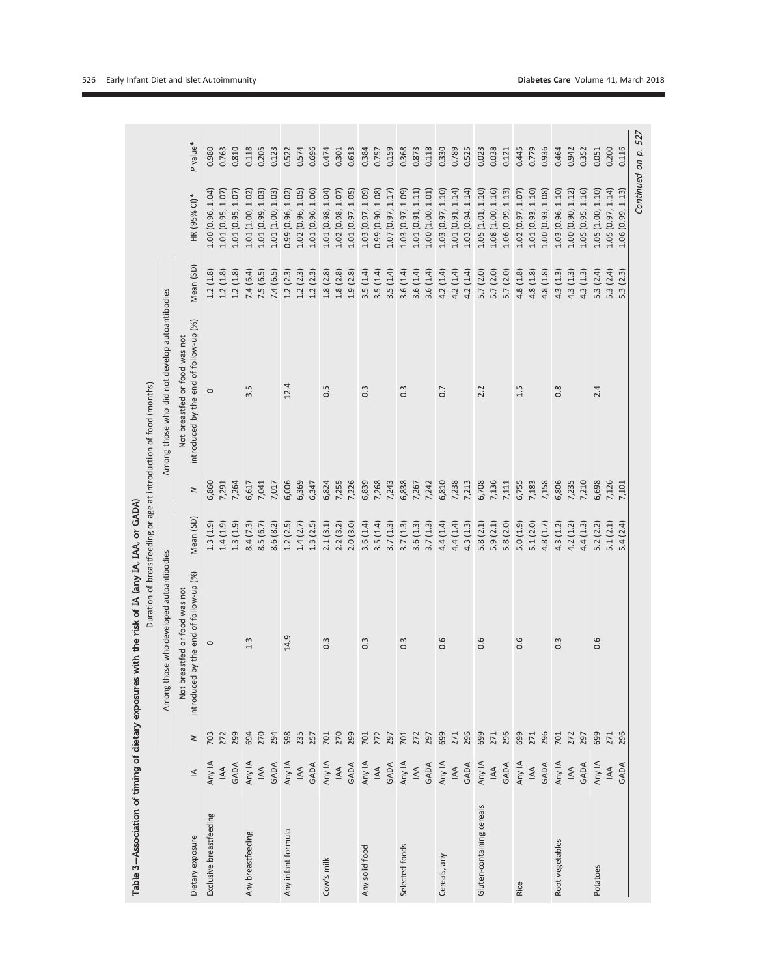|                           |                       |           |                                                                         |           |        | Duration of breastfeeding or age at introduction of food (months)       |                           |                         |          |
|---------------------------|-----------------------|-----------|-------------------------------------------------------------------------|-----------|--------|-------------------------------------------------------------------------|---------------------------|-------------------------|----------|
|                           |                       |           | Among those who developed autoantibodies                                |           |        | Among those who did not develop autoantibodies                          |                           |                         |          |
| Dietary exposure          | $\leq$                | $\,$ $\,$ | introduced by the end of follow-up (%)<br>Not breastfed or food was not | Mean (SD) | $\geq$ | introduced by the end of follow-up (%)<br>Not breastfed or food was not | Mean (SD)                 | HR (95% CI)*            | P value* |
| Exclusive breastfeeding   | Any IA                | 703       | $\circ$                                                                 | 1.3(1.9)  | 6,860  | $\circ$                                                                 | (1.8)<br>1.2              | 1.04<br>1.00 (0.96,     | 0.980    |
|                           | $\mathbb A$           | 272       |                                                                         | 1.4(1.9)  | 7,291  |                                                                         | (1.8)<br>1.2              | 1.07<br>1.01 (0.95,     | 0.763    |
|                           | GADA                  | 299       |                                                                         | 1.3(1.9)  | 7,264  |                                                                         | (1.8)<br>1.2              | 1.07<br>1.01 (0.95,     | 0.810    |
| Any breastfeeding         | Any IA                | 694       | $1.\overline{3}$                                                        | 8.4(7.3)  | 6,617  | $3.\overline{5}$                                                        | (6.4)<br>7.4              | 1.02<br>1.01 (1.00,     | 0.118    |
|                           | $\mathbb A$           | 270       |                                                                         | 8.5(6.7)  | 7,041  |                                                                         | (6.5)<br>7.5              | 1.03<br>1.01 (0.99,     | 0.205    |
|                           | GADA                  | 294       |                                                                         | 8.6 (8.2) | 7,017  |                                                                         | 7.4 (6.5)                 | 1.01 (1.00, 1.03)       | 0.123    |
| Any infant formula        | Any IA                | 598       | 14.9                                                                    | 1.2(2.5)  | 6,006  | 12.4                                                                    | (2.3)<br>1.2              | 1.02<br>(0.96,<br>0.99  | 0.522    |
|                           | $\mathbb{A}$          | 235       |                                                                         | 1.4(2.7)  | 6,369  |                                                                         | (2.3)<br>1.2              | 1.05<br>(0.96,<br>1.02  | 0.574    |
|                           | GADA                  | 257       |                                                                         | 1.3(2.5)  | 6,347  |                                                                         | (2.3)<br>1.2              | 1.06<br>(0.96,<br>1.01  | 0.696    |
| Cow's milk                | Any IA                | 701       | $0.\overline{3}$                                                        | 2.1(3.1)  | 6,824  | 0.5                                                                     | 1.8(2.8)                  | 1.04<br>1.01 (0.98,     | 0.474    |
|                           | $\mathbb{A}$          | 270       |                                                                         | 2.2(3.2)  | 7,255  |                                                                         | 1.8(2.8)                  | 1.07<br>1.02 (0.98,     | 0.301    |
|                           | GADA                  | 299       |                                                                         | 2.0(3.0)  | 7,226  |                                                                         | 1.9(2.8)                  | 1.05<br>1.01 (0.97,     | 0.613    |
| Any solid food            | Any IA<br>IAA         | 701       | $0.\overline{3}$                                                        | 3.6(1.4)  | 6,839  | $0.\overline{3}$                                                        | 3.5(1.4)                  | (60.1<br>(0.97,<br>1.03 | 0.384    |
|                           |                       | 272       |                                                                         | 3.5(1.4)  | 7,268  |                                                                         | 3.5(1.4)                  | 1.08<br>0.99 (0.90,     | 0.757    |
|                           | GADA                  | 297       |                                                                         | 3.7(1.3)  | 7,243  |                                                                         | 3.5(1.4)                  | 1.17<br>1.07 (0.97,     | 0.159    |
| Selected foods            | Any IA<br>IAA         | 701       | $0.\overline{3}$                                                        | 3.7(1.3)  | 6,838  | $0.\overline{3}$                                                        | 3.6(1.4)                  | 1.09<br>1.03 (0.97,     | 0.368    |
|                           |                       | 272       |                                                                         | 3.6(1.3)  | 7,267  |                                                                         | 3.6(1.4)                  | 1.11<br>1.01(0.91,      | 0.873    |
|                           | GADA                  | 297       |                                                                         | 3.7(1.3)  | 7,242  |                                                                         | 3.6(1.4)                  | 1.01<br>1.00 (1.00,     | 0.118    |
| Cereals, any              |                       | 699       | 0.6                                                                     | 4.4(1.4)  | 6,810  | 0.7                                                                     | 4.2(1.4)                  | 1.03(0.97, 1.10)        | 0.330    |
|                           |                       | 271       |                                                                         | 4.4(1.4)  | 7,238  |                                                                         | 4.2(1.4)                  | 1.14)<br>1.01 (0.91,    | 0.789    |
|                           | Any IA<br>IAA<br>GADA | 296       |                                                                         | 4.3(1.3)  | 7,213  |                                                                         | 4.2(1.4)                  | 1.14<br>1.03 (0.94,     | 0.525    |
| Gluten-containing cereals | Any IA                | 699       | 0.6                                                                     | 5.8(2.1)  | 6,708  | 2.2                                                                     | 5.7 (2.0)                 | 1.10<br>1.05 (1.01,     | 0.023    |
|                           | $\mathbb{A}$          | 271       |                                                                         | 5.9(2.1)  | 7,136  |                                                                         | 5.7(2.0)                  | 1.16<br>1.08 (1.00,     | 0.038    |
|                           | GADA                  | 296       |                                                                         | 5.8 (2.0) | 7,111  |                                                                         | 5.7(2.0)                  | 1.13<br>1.06 (0.99,     | 0.121    |
| Rice                      | Any IA                | 699       | 0.6                                                                     | 5.0(1.9)  | 6,755  | 1.5                                                                     | 4.8(1.8)                  | 1.02(0.97, 1.07)        | 0.445    |
|                           | $\mathbb{A}$          | 271       |                                                                         | 5.1(2.0)  | 7,183  |                                                                         | 4.8(1.8)                  | 1.10<br>1.01 (0.93,     | 0.779    |
|                           | GADA                  | 296       |                                                                         | 4.8(1.7)  | 7,158  |                                                                         | (1.8)<br>4.8              | 1.08<br>1.00 (0.93,     | 0.936    |
| Root vegetables           | Any IA                | 701       | $0.\overline{3}$                                                        | 4.3(1.2)  | 6,806  | $0.\overline{8}$                                                        | (1.3)<br>4.3              | 1.10<br>1.03 (0.96,     | 0.464    |
|                           | $\mathbb{A}$          | 272       |                                                                         | 4.2(1.2)  | 7,235  |                                                                         | (1.3)<br>$4.\overline{3}$ | 1.12<br>1.00 (0.90,     | 0.942    |
|                           | GADA                  | 297       |                                                                         | 4.4(1.3)  | 7,210  |                                                                         | (1.3)<br>4.3              | 1.16<br>1.05 (0.95,     | 0.352    |
| Potatoes                  | Any IA                | 699       | 0.6                                                                     | 5.2(2.2)  | 6,698  | 2.4                                                                     | 5.3(2.4)                  | 1.05(1.00, 1.10)        | 0.051    |
|                           | $\mathbb A$           | 271       |                                                                         | 5.1(2.1)  | 7,126  |                                                                         | 5.3(2.4)                  | 1.05(0.97, 1.14)        | 0.200    |
|                           | GADA                  | 296       |                                                                         | 5.4(2.4)  | 7,101  |                                                                         | (2.3)<br>5.3              | 1.06(0.99, 1.13)        | 0.116    |
|                           |                       |           |                                                                         |           |        |                                                                         |                           | Continued on p.         | 527      |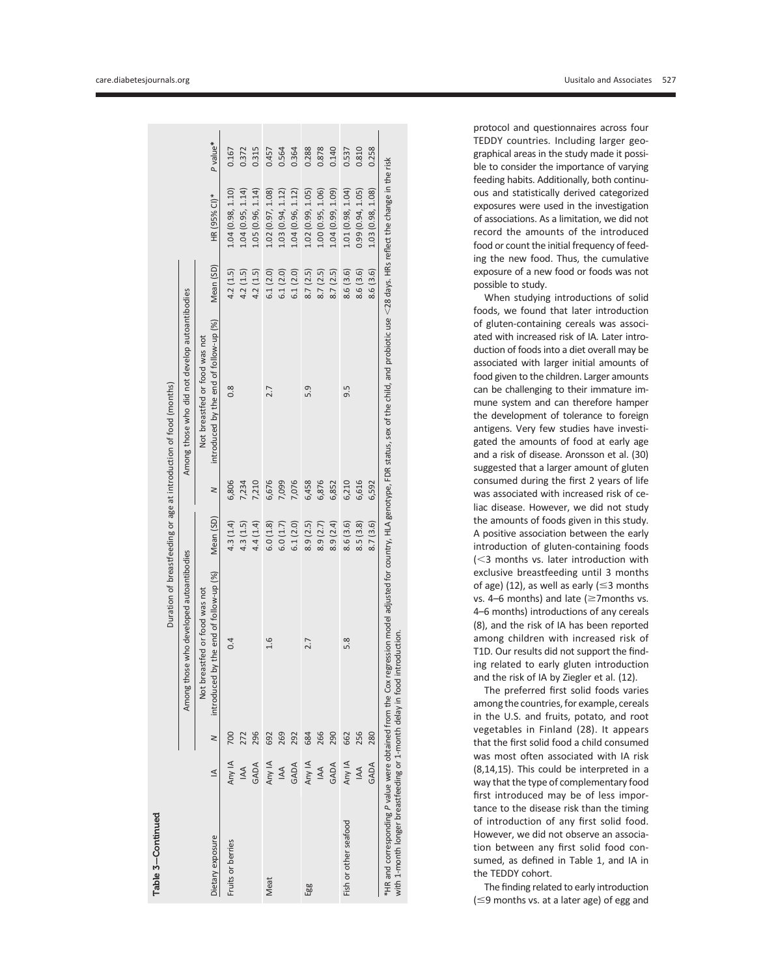|                                                                          |              |        |                                                                                                                                                                                                             |           |        | Duration of breastfeeding or age at introduction of food (months) |           |                   |          |
|--------------------------------------------------------------------------|--------------|--------|-------------------------------------------------------------------------------------------------------------------------------------------------------------------------------------------------------------|-----------|--------|-------------------------------------------------------------------|-----------|-------------------|----------|
|                                                                          |              |        | Among those who developed autoantibodies                                                                                                                                                                    |           |        | Among those who did not develop autoantibodies                    |           |                   |          |
|                                                                          |              |        | food was not<br>Not breastfed or                                                                                                                                                                            |           |        | Not breastfed or food was not                                     |           |                   |          |
| Dietary exposure                                                         | $\leq$       | $\geq$ | introduced by the end of follow-up (%)                                                                                                                                                                      | Mean (SD) | $\geq$ | introduced by the end of follow-up (%)                            | Mean (SD) | HR (95% CI)*      | P value* |
| Fruits or berries                                                        | Any IA       | 700    | 0.4                                                                                                                                                                                                         | 4.3 (1.4) | 6,806  | $0.\overline{8}$                                                  | 4.2(1.5)  | 1.04 (0.98, 1.10) | 0.167    |
|                                                                          | $\mathbb{A}$ | 272    |                                                                                                                                                                                                             | 4.3(1.5)  | 7,234  |                                                                   | 4.2(1.5)  | 1.04 (0.95, 1.14) | 0.372    |
|                                                                          | GADA         | 296    |                                                                                                                                                                                                             | 4.4(1.4)  | 7,210  |                                                                   | 4.2(1.5)  | 1.05 (0.96, 1.14) | 0.315    |
| Meat                                                                     | Any IA       | 692    | 1.6                                                                                                                                                                                                         | 6.0(1.8)  | 6,676  | 2.7                                                               | 6.1(2.0)  | 1.02 (0.97, 1.08) | 0.457    |
|                                                                          | AA           | 269    |                                                                                                                                                                                                             | 6.0(1.7)  | 7,099  |                                                                   | 6.1(2.0)  | 1.03 (0.94, 1.12) | 0.564    |
|                                                                          | GADA         | 292    |                                                                                                                                                                                                             | 6.1(2.0)  | 7,076  |                                                                   | 6.1(2.0)  | 1.04 (0.96, 1.12) | 0.364    |
| Egg                                                                      | Any IA       | 684    | 2.7                                                                                                                                                                                                         | 8.9(2.5)  | 6,458  | 5.9                                                               | 8.7(2.5)  | 1.02(0.99, 1.05)  | 0.288    |
|                                                                          | AA           | 266    |                                                                                                                                                                                                             | 8.9(2.7)  | 6,876  |                                                                   | 8.7(2.5)  | 1.00(0.95, 1.06)  | 0.878    |
|                                                                          | GADA         | 290    |                                                                                                                                                                                                             | 8.9(2.4)  | 6,852  |                                                                   | 8.7(2.5)  | 1.04(0.99, 1.09)  | 0.140    |
| Fish or other seafood                                                    | Any IA       | 662    | 5.8                                                                                                                                                                                                         | 8.6 (3.6) | 6,210  | 9.5                                                               | 8.6 (3.6) | 1.01(0.98, 1.04)  | 0.537    |
|                                                                          | <b>AA</b>    | 256    |                                                                                                                                                                                                             | 8.5(3.8)  | 6,616  |                                                                   | 8.6 (3.6) | 0.99(0.94, 1.05)  | 0.810    |
|                                                                          | GADA         | 280    |                                                                                                                                                                                                             | 8.7(3.6)  | 6,592  |                                                                   | 8.6 (3.6) | 1.03 (0.98, 1.08) | 0.258    |
| with 1-month longer breastfeeding or 1-month delay in food introduction. |              |        | * HR and corresponding P value were obtained from the Cox regression model adjusted for country, HLA genotype, FDR status, sex of the child, and probiotic use <28 days. HRs reflect the change in the risk |           |        |                                                                   |           |                   |          |

protocol and questionnaires across four TEDDY countries. Including larger geographical areas in the study made it possible to consider the importance of varying feeding habits. Additionally, both continuous and statistically derived categorized exposures were used in the investigation of associations. As a limitation, we did not record the amounts of the introduced food or count the initial frequency of feeding the new food. Thus, the cumulative exposure of a new food or foods was not possible to study.

When studying introductions of solid foods, we found that later introduction of gluten-containing cereals was associated with increased risk of IA. Later introduction of foods into a diet overall may be associated with larger initial amounts of food given to the children. Larger amounts can be challenging to their immature immune system and can therefore hamper the development of tolerance to foreign antigens. Very few studies have investigated the amounts of food at early age and a risk of disease. Aronsson et al. (30) suggested that a larger amount of gluten consumed during the first 2 years of life was associated with increased risk of celiac disease. However, we did not study the amounts of foods given in this study. A positive association between the early introduction of gluten-containing foods  $(<$ 3 months vs. later introduction with exclusive breastfeeding until 3 months of age) (12), as well as early ( $\leq$ 3 months vs. 4–6 months) and late  $(\geq 7$ months vs. 4 –6 months) introductions of any cereals (8), and the risk of IA has been reported among children with increased risk of T1D. Our results did not support the finding related to early gluten introduction and the risk of IA by Ziegler et al. (12).

The preferred first solid foods varies among the countries, for example, cereals in the U.S. and fruits, potato, and root vegetables in Finland (28). It appears that the first solid food a child consumed was most often associated with IA risk (8,14,15). This could be interpreted in a way that the type of complementary food first introduced may be of less importance to the disease risk than the timing of introduction of any first solid food. However, we did not observe an association between any first solid food consumed, as defined in Table 1, and IA in the TEDDY cohort.

The finding related to early introduction  $(\leq)$  months vs. at a later age) of egg and

Table 3—Continued

Table 3-Continued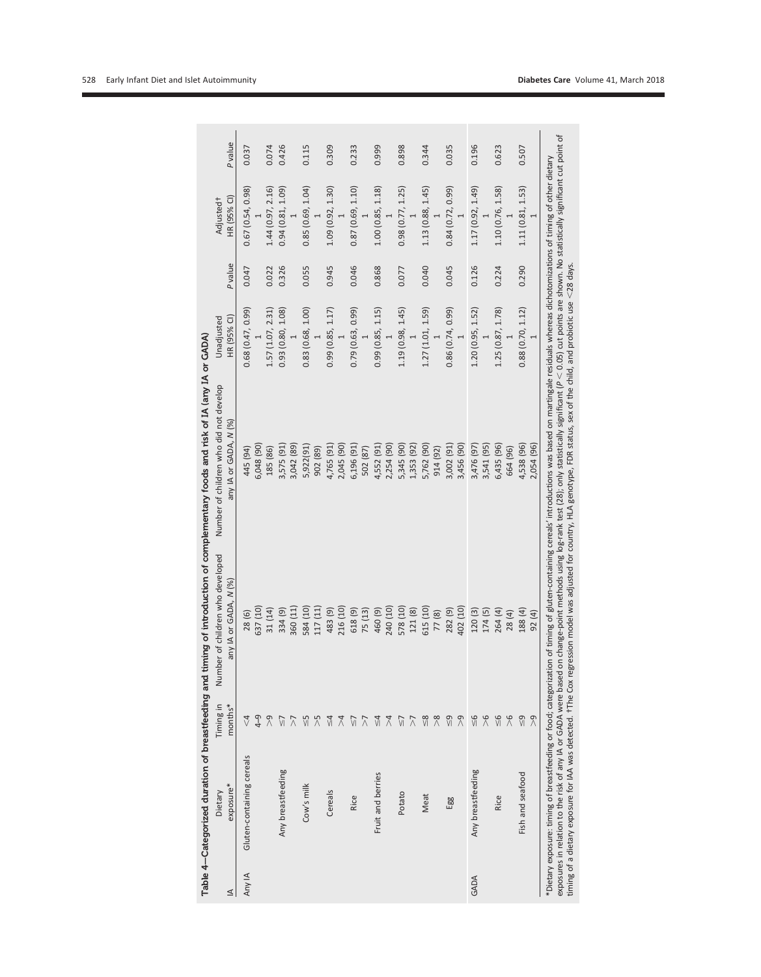|        |                           |                       |                                                              | Table 4-Categorized duration of breastfeeding and timing of introduction of complementary foods and risk of IA (any IA or GADA)                                                                                                                                                                                                                                                                                                                                                                                                                                                                                                  |                           |         |                                      |         |
|--------|---------------------------|-----------------------|--------------------------------------------------------------|----------------------------------------------------------------------------------------------------------------------------------------------------------------------------------------------------------------------------------------------------------------------------------------------------------------------------------------------------------------------------------------------------------------------------------------------------------------------------------------------------------------------------------------------------------------------------------------------------------------------------------|---------------------------|---------|--------------------------------------|---------|
| ⊴      | exposure*<br>Dietary      | Timing in<br>months*  | Number of children who developed<br>or GADA, N (%)<br>Al Vue | Number of children who did not develop<br>any IA or GADA, N (%                                                                                                                                                                                                                                                                                                                                                                                                                                                                                                                                                                   | HR (95% CI)<br>Unadjusted | P value | HR (95% CI)<br>Adjusted <sup>+</sup> | P value |
| Any IA | Gluten-containing cereals | $\overline{\sqrt{4}}$ | 28(6)                                                        | 445 (94)                                                                                                                                                                                                                                                                                                                                                                                                                                                                                                                                                                                                                         | 0.68(0.47, 0.99)          | 0.047   | 0.67(0.54, 0.98)                     | 0.037   |
|        |                           | $\frac{9}{4}$         | 637 (10)                                                     | 5,048 (90)                                                                                                                                                                                                                                                                                                                                                                                                                                                                                                                                                                                                                       |                           |         |                                      |         |
|        |                           | $\alpha$              | 31 (14)                                                      | 185 (86)                                                                                                                                                                                                                                                                                                                                                                                                                                                                                                                                                                                                                         | 1.57(1.07, 2.31)          | 0.022   | 1.44 (0.97, 2.16)                    | 0.074   |
|        | Any breastfeeding         | VĪ                    | 334 (9)                                                      | 3,575 (91)                                                                                                                                                                                                                                                                                                                                                                                                                                                                                                                                                                                                                       | 0.93(0.80, 1.08)          | 0.326   | 0.94(0.81, 1.09)                     | 0.426   |
|        |                           | $\overline{\wedge}$   | 360 (11)                                                     | 3,042 (89)                                                                                                                                                                                                                                                                                                                                                                                                                                                                                                                                                                                                                       |                           |         |                                      |         |
|        | Cow's milk                | $\frac{5}{2}$         | 584 (10)                                                     | 5,922(91)                                                                                                                                                                                                                                                                                                                                                                                                                                                                                                                                                                                                                        | 0.83(0.68, 1.00)          | 0.055   | 0.85(0.69, 1.04)                     | 0.115   |
|        |                           | $\geqslant$           | 117 (11)                                                     | 902 (89)                                                                                                                                                                                                                                                                                                                                                                                                                                                                                                                                                                                                                         |                           |         |                                      |         |
|        | Cereals                   | $\leq 4$              | 483 (9)                                                      | 4,765 (91)                                                                                                                                                                                                                                                                                                                                                                                                                                                                                                                                                                                                                       | 0.99(0.85, 1.17)          | 0.945   | 1.09 (0.92, 1.30)                    | 0.309   |
|        |                           | $\overline{\lambda}$  | 216 (10)                                                     | 2,045 (90)                                                                                                                                                                                                                                                                                                                                                                                                                                                                                                                                                                                                                       |                           |         |                                      |         |
|        | Rice                      | $\frac{1}{2}$         | 618(9)                                                       | 5,196 (91)                                                                                                                                                                                                                                                                                                                                                                                                                                                                                                                                                                                                                       | 0.79(0.63, 0.99)          | 0.046   | 0.87(0.69, 1.10)                     | 0.233   |
|        |                           | $\overline{\wedge}$   | 75 (13)                                                      | 502 (87)                                                                                                                                                                                                                                                                                                                                                                                                                                                                                                                                                                                                                         |                           |         |                                      |         |
|        | Fruit and berries         | $\frac{4}{3}$         | (6) 09                                                       | 4,552 (91)                                                                                                                                                                                                                                                                                                                                                                                                                                                                                                                                                                                                                       | 0.99(0.85, 1.15)          | 0.868   | 1.00 (0.85, 1.18)                    | 0.999   |
|        |                           | $\overline{4}$        | 240 (10)                                                     | 2,254 (90)                                                                                                                                                                                                                                                                                                                                                                                                                                                                                                                                                                                                                       |                           |         |                                      |         |
|        | Potato                    | $\frac{1}{2}$         | 578 (10)                                                     | 5,345 (90)                                                                                                                                                                                                                                                                                                                                                                                                                                                                                                                                                                                                                       | 1.19(0.98, 1.45)          | 0.077   | 0.98(0.77, 1.25)                     | 0.898   |
|        |                           | $\overline{\wedge}$   | 121 (8)                                                      | 1,353 (92)                                                                                                                                                                                                                                                                                                                                                                                                                                                                                                                                                                                                                       |                           |         |                                      |         |
|        | Meat                      | $\frac{8}{2}$         | 615 (10)                                                     | 5,762 (90)                                                                                                                                                                                                                                                                                                                                                                                                                                                                                                                                                                                                                       | 1.27 (1.01, 1.59)         | 0.040   | 1.13 (0.88, 1.45)                    | 0.344   |
|        |                           | $\frac{8}{2}$         | 77(8)                                                        | 914 (92)                                                                                                                                                                                                                                                                                                                                                                                                                                                                                                                                                                                                                         |                           |         |                                      |         |
|        | Egg                       | $\frac{9}{2}$         | 282 (9)                                                      | 3,002 (91)                                                                                                                                                                                                                                                                                                                                                                                                                                                                                                                                                                                                                       | 0.86 (0.74, 0.99)         | 0.045   | 0.84(0.72, 0.99)                     | 0.035   |
|        |                           | $\alpha$              | 402 (10)                                                     | 3,456 (90)                                                                                                                                                                                                                                                                                                                                                                                                                                                                                                                                                                                                                       |                           |         |                                      |         |
| GADA   | Any breastfeeding         | $\frac{6}{5}$         | 120 (3)                                                      | 3,476 (97)                                                                                                                                                                                                                                                                                                                                                                                                                                                                                                                                                                                                                       | 1.20(0.95, 1.52)          | 0.126   | 1.17 (0.92, 1.49)                    | 0.196   |
|        |                           | $\frac{6}{2}$         | 174 (5)                                                      | 3,541 (95)                                                                                                                                                                                                                                                                                                                                                                                                                                                                                                                                                                                                                       |                           |         |                                      |         |
|        | Rice                      | $\frac{8}{5}$         | 264 (4)                                                      | 6,435 (96)                                                                                                                                                                                                                                                                                                                                                                                                                                                                                                                                                                                                                       | 1.25(0.87, 1.78)          | 0.224   | 1.10 (0.76, 1.58)                    | 0.623   |
|        |                           | $\frac{6}{2}$         | 28(4)                                                        | 664 (96)                                                                                                                                                                                                                                                                                                                                                                                                                                                                                                                                                                                                                         |                           |         |                                      |         |
|        | Fish and seafood          | $\frac{9}{2}$         | 188 (4)                                                      | 4,538 (96)                                                                                                                                                                                                                                                                                                                                                                                                                                                                                                                                                                                                                       | 0.88(0.70, 1.12)          | 0.290   | 1.11(0.81, 1.53)                     | 0.507   |
|        |                           | $\sqrt{2}$            | 92 (4)                                                       | 2,054 (96)                                                                                                                                                                                                                                                                                                                                                                                                                                                                                                                                                                                                                       |                           |         |                                      |         |
|        |                           |                       |                                                              | exposures in relation to the risk of any IA or GADA were based on change-point methods using log-rank test (28); only statistically significant (P $<$ 0.05) cut points are shown. No statistically significant cut point of<br>*Dietary exposure: timing of breastfeeding or food; categorization of timing of gluten-containing cereals' introductions was based on martingale residuals whereas dichotomizations of timing of other dietary<br>timing of a dietary exposure for IAA was detected. †The Cox regression model was adjusted for country, HLA genotype, FDR status, sex of the child, and probiotic use <28 days. |                           |         |                                      |         |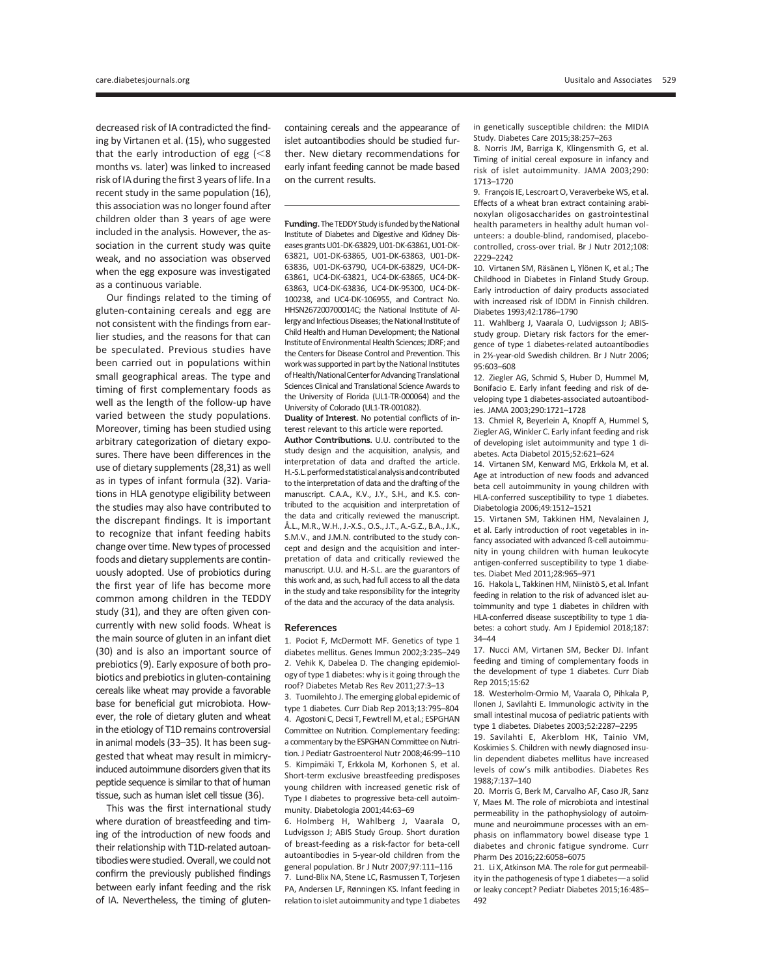decreased risk of IA contradicted the finding by Virtanen et al. (15), who suggested that the early introduction of egg  $\approx 8$ months vs. later) was linked to increased risk of IA during the first 3 years of life. In a recent study in the same population (16), this association was no longer found after children older than 3 years of age were included in the analysis. However, the association in the current study was quite weak, and no association was observed when the egg exposure was investigated as a continuous variable.

Our findings related to the timing of gluten-containing cereals and egg are not consistent with the findings from earlier studies, and the reasons for that can be speculated. Previous studies have been carried out in populations within small geographical areas. The type and timing of first complementary foods as well as the length of the follow-up have varied between the study populations. Moreover, timing has been studied using arbitrary categorization of dietary exposures. There have been differences in the use of dietary supplements (28,31) as well as in types of infant formula (32). Variations in HLA genotype eligibility between the studies may also have contributed to the discrepant findings. It is important to recognize that infant feeding habits change over time. New types of processed foods and dietary supplements are continuously adopted. Use of probiotics during the first year of life has become more common among children in the TEDDY study (31), and they are often given concurrently with new solid foods. Wheat is the main source of gluten in an infant diet (30) and is also an important source of prebiotics (9). Early exposure of both probiotics and prebiotics in gluten-containing cereals like wheat may provide a favorable base for beneficial gut microbiota. However, the role of dietary gluten and wheat in the etiology of T1D remains controversial in animal models (33–35). It has been suggested that wheat may result in mimicryinduced autoimmune disorders given that its peptide sequence is similar to that of human tissue, such as human islet cell tissue (36).

This was the first international study where duration of breastfeeding and timing of the introduction of new foods and their relationship with T1D-related autoantibodies were studied. Overall, we could not confirm the previously published findings between early infant feeding and the risk of IA. Nevertheless, the timing of gluten-

containing cereals and the appearance of islet autoantibodies should be studied further. New dietary recommendations for early infant feeding cannot be made based on the current results.

Funding. The TEDDY Study is funded by the National Institute of Diabetes and Digestive and Kidney Diseases grants U01-DK-63829, U01-DK-63861, U01-DK-63821, U01-DK-63865, U01-DK-63863, U01-DK-63836, U01-DK-63790, UC4-DK-63829, UC4-DK-63861, UC4-DK-63821, UC4-DK-63865, UC4-DK-63863, UC4-DK-63836, UC4-DK-95300, UC4-DK-100238, and UC4-DK-106955, and Contract No. HHSN267200700014C; the National Institute of Allergy and Infectious Diseases; the National Institute of Child Health and Human Development; the National Institute of Environmental Health Sciences; JDRF; and the Centers for Disease Control and Prevention. This work was supported in part by the National Institutes of Health/National Center for Advancing Translational Sciences Clinical and Translational Science Awards to the University of Florida (UL1-TR-000064) and the University of Colorado (UL1-TR-001082).

Duality of Interest. No potential conflicts of interest relevant to this article were reported.

Author Contributions. U.U. contributed to the study design and the acquisition, analysis, and interpretation of data and drafted the article. H.-S.L. performed statistical analysis and contributed to the interpretation of data and the drafting of the manuscript. C.A.A., K.V., J.Y., S.H., and K.S. contributed to the acquisition and interpretation of the data and critically reviewed the manuscript. A.L., M.R., W.H., J.-X.S., O.S., J.T., A.-G.Z., B.A., J.K., ˚ S.M.V., and J.M.N. contributed to the study concept and design and the acquisition and interpretation of data and critically reviewed the manuscript. U.U. and H.-S.L. are the guarantors of this work and, as such, had full access to all the data in the study and take responsibility for the integrity of the data and the accuracy of the data analysis.

#### References

1. Pociot F, McDermott MF. Genetics of type 1 diabetes mellitus. Genes Immun 2002;3:235–249 2. Vehik K, Dabelea D. The changing epidemiology of type 1 diabetes: why is it going through the roof? Diabetes Metab Res Rev 2011;27:3–13

3. Tuomilehto J. The emerging global epidemic of type 1 diabetes. Curr Diab Rep 2013;13:795–804 4. Agostoni C, Decsi T, Fewtrell M, et al.; ESPGHAN Committee on Nutrition. Complementary feeding: a commentary by the ESPGHAN Committee on Nutrition. J Pediatr Gastroenterol Nutr 2008;46:99–110 5. Kimpimäki T, Erkkola M, Korhonen S, et al. Short-term exclusive breastfeeding predisposes young children with increased genetic risk of Type I diabetes to progressive beta-cell autoimmunity. Diabetologia 2001;44:63–69

6. Holmberg H, Wahlberg J, Vaarala O, Ludvigsson J; ABIS Study Group. Short duration of breast-feeding as a risk-factor for beta-cell autoantibodies in 5-year-old children from the general population. Br J Nutr 2007;97:111–116 7. Lund-Blix NA, Stene LC, Rasmussen T, Torjesen PA, Andersen LF, Rønningen KS. Infant feeding in relation to islet autoimmunity and type 1 diabetes in genetically susceptible children: the MIDIA Study. Diabetes Care 2015;38:257–263

8. Norris JM, Barriga K, Klingensmith G, et al. Timing of initial cereal exposure in infancy and risk of islet autoimmunity. JAMA 2003;290: 1713–1720

9. François IE, Lescroart O, Veraverbeke WS, et al. Effects of a wheat bran extract containing arabinoxylan oligosaccharides on gastrointestinal health parameters in healthy adult human volunteers: a double-blind, randomised, placebocontrolled, cross-over trial. Br J Nutr 2012;108: 2229–2242

10. Virtanen SM, Räsänen L, Ylönen K, et al.; The Childhood in Diabetes in Finland Study Group. Early introduction of dairy products associated with increased risk of IDDM in Finnish children. Diabetes 1993;42:1786–1790

11. Wahlberg J, Vaarala O, Ludvigsson J; ABISstudy group. Dietary risk factors for the emergence of type 1 diabetes-related autoantibodies in 2½-year-old Swedish children. Br J Nutr 2006; 95:603–608

12. Ziegler AG, Schmid S, Huber D, Hummel M, Bonifacio E. Early infant feeding and risk of developing type 1 diabetes-associated autoantibodies. JAMA 2003;290:1721–1728

13. Chmiel R, Beyerlein A, Knopff A, Hummel S, Ziegler AG, Winkler C. Early infant feeding and risk of developing islet autoimmunity and type 1 diabetes. Acta Diabetol 2015;52:621–624

14. Virtanen SM, Kenward MG, Erkkola M, et al. Age at introduction of new foods and advanced beta cell autoimmunity in young children with HLA-conferred susceptibility to type 1 diabetes. Diabetologia 2006;49:1512–1521

15. Virtanen SM, Takkinen HM, Nevalainen J, et al. Early introduction of root vegetables in infancy associated with advanced ß-cell autoimmunity in young children with human leukocyte antigen-conferred susceptibility to type 1 diabetes. Diabet Med 2011;28:965–971

16. Hakola L, Takkinen HM, Niinistö S, et al. Infant feeding in relation to the risk of advanced islet autoimmunity and type 1 diabetes in children with HLA-conferred disease susceptibility to type 1 diabetes: a cohort study. Am J Epidemiol 2018;187: 34–44

17. Nucci AM, Virtanen SM, Becker DJ. Infant feeding and timing of complementary foods in the development of type 1 diabetes. Curr Diab Rep 2015;15:62

18. Westerholm-Ormio M, Vaarala O, Pihkala P, Ilonen J, Savilahti E. Immunologic activity in the small intestinal mucosa of pediatric patients with type 1 diabetes. Diabetes 2003;52:2287–2295

19. Savilahti E, Akerblom HK, Tainio VM, Koskimies S. Children with newly diagnosed insulin dependent diabetes mellitus have increased levels of cow's milk antibodies. Diabetes Res 1988;7:137–140

20. Morris G, Berk M, Carvalho AF, Caso JR, Sanz Y, Maes M. The role of microbiota and intestinal permeability in the pathophysiology of autoimmune and neuroimmune processes with an emphasis on inflammatory bowel disease type 1 diabetes and chronic fatigue syndrome. Curr Pharm Des 2016;22:6058–6075

21. Li X, Atkinson MA. The role for gut permeability in the pathogenesis of type 1 diabetes-a solid or leaky concept? Pediatr Diabetes 2015;16:485– 492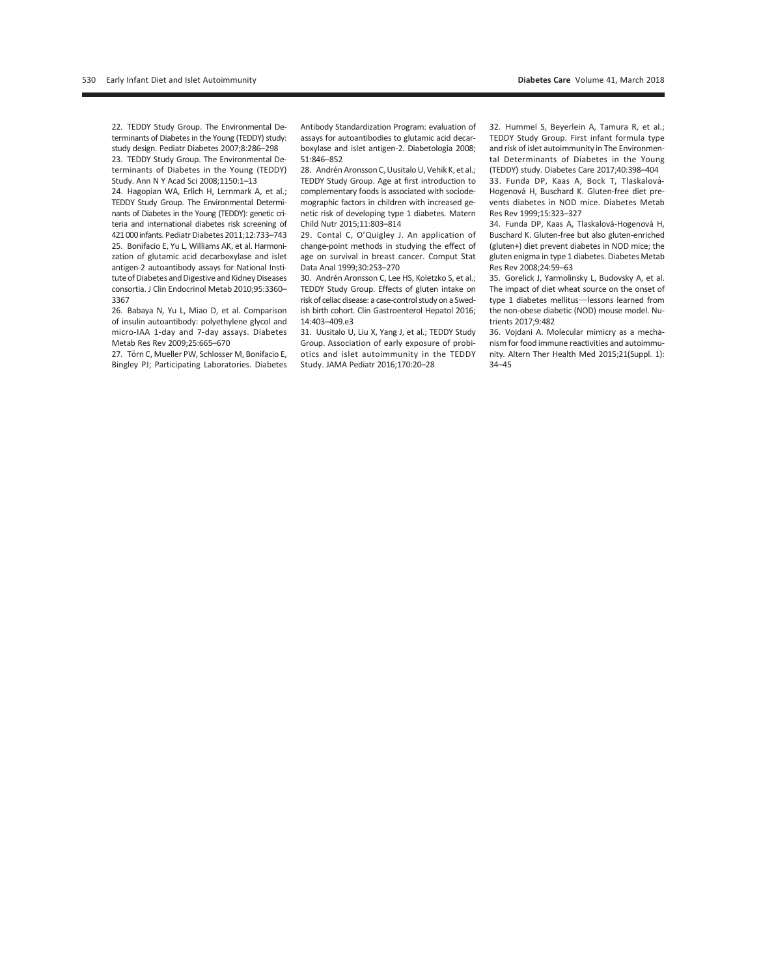22. TEDDY Study Group. The Environmental Determinants of Diabetes in the Young (TEDDY) study: study design. Pediatr Diabetes 2007;8:286–298 23. TEDDY Study Group. The Environmental Determinants of Diabetes in the Young (TEDDY) Study. Ann N Y Acad Sci 2008;1150:1–13

24. Hagopian WA, Erlich H, Lernmark A, et al.; TEDDY Study Group. The Environmental Determinants of Diabetes in the Young (TEDDY): genetic criteria and international diabetes risk screening of 421 000infants. Pediatr Diabetes 2011;12:733–743 25. Bonifacio E, Yu L, Williams AK, et al. Harmonization of glutamic acid decarboxylase and islet antigen-2 autoantibody assays for National Institute of Diabetes and Digestive and Kidney Diseases consortia. J Clin Endocrinol Metab 2010;95:3360– 3367

26. Babaya N, Yu L, Miao D, et al. Comparison of insulin autoantibody: polyethylene glycol and micro-IAA 1-day and 7-day assays. Diabetes Metab Res Rev 2009;25:665–670

27. Törn C, Mueller PW, Schlosser M, Bonifacio E, Bingley PJ; Participating Laboratories. Diabetes

Antibody Standardization Program: evaluation of assays for autoantibodies to glutamic acid decarboxylase and islet antigen-2. Diabetologia 2008; 51:846–852

28. Andrén Aronsson C, Uusitalo U, Vehik K, et al.; TEDDY Study Group. Age at first introduction to complementary foods is associated with sociodemographic factors in children with increased genetic risk of developing type 1 diabetes. Matern Child Nutr 2015;11:803–814

29. Contal C, O'Quigley J. An application of change-point methods in studying the effect of age on survival in breast cancer. Comput Stat Data Anal 1999;30:253–270

30. Andrén Aronsson C, Lee HS, Koletzko S, et al.; TEDDY Study Group. Effects of gluten intake on risk of celiac disease: a case-control study on a Swedish birth cohort. Clin Gastroenterol Hepatol 2016; 14:403–409.e3

31. Uusitalo U, Liu X, Yang J, et al.; TEDDY Study Group. Association of early exposure of probiotics and islet autoimmunity in the TEDDY Study. JAMA Pediatr 2016;170:20–28

32. Hummel S, Beyerlein A, Tamura R, et al.; TEDDY Study Group. First infant formula type and risk of islet autoimmunity in The Environmental Determinants of Diabetes in the Young (TEDDY) study. Diabetes Care 2017;40:398–404 33. Funda DP, Kaas A, Bock T, Tlaskalová-Hogenová H, Buschard K. Gluten-free diet prevents diabetes in NOD mice. Diabetes Metab Res Rev 1999;15:323–327

34. Funda DP, Kaas A, Tlaskalová-Hogenová H, Buschard K. Gluten-free but also gluten-enriched (gluten+) diet prevent diabetes in NOD mice; the gluten enigma in type 1 diabetes. Diabetes Metab Res Rev 2008;24:59–63

35. Gorelick J, Yarmolinsky L, Budovsky A, et al. The impact of diet wheat source on the onset of type 1 diabetes mellitus-lessons learned from the non-obese diabetic (NOD) mouse model. Nutrients 2017;9:482

36. Vojdani A. Molecular mimicry as a mechanism for food immune reactivities and autoimmunity. Altern Ther Health Med 2015;21(Suppl. 1): 34–45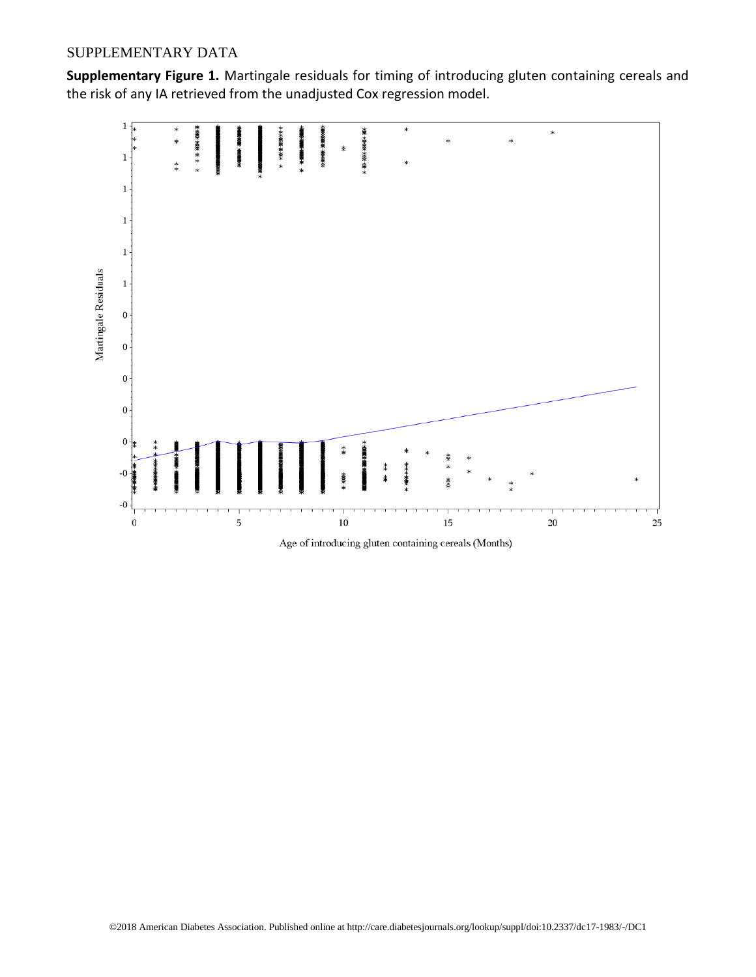# SUPPLEMENTARY DATA

**Supplementary Figure 1.** Martingale residuals for timing of introducing gluten containing cereals and the risk of any IA retrieved from the unadjusted Cox regression model.



Age of introducing gluten containing cereals (Months)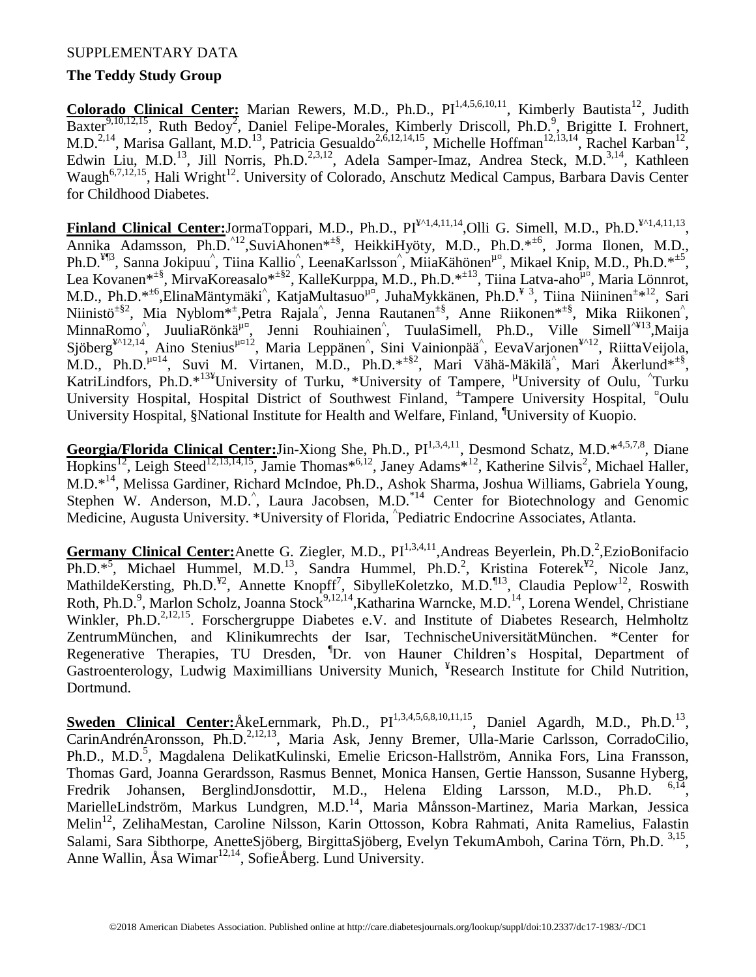# SUPPLEMENTARY DATA

# **The Teddy Study Group**

Colorado Clinical Center: Marian Rewers, M.D., Ph.D., PI<sup>1,4,5,6,10,11</sup>, Kimberly Bautista<sup>12</sup>, Judith Baxter<sup>9,10,12,15</sup>, Ruth Bedoy<sup>2</sup>, Daniel Felipe-Morales, Kimberly Driscoll, Ph.D.<sup>9</sup>, Brigitte I. Frohnert, M.D.<sup>2,14</sup>, Marisa Gallant, M.D.<sup>13</sup>, Patricia Gesualdo<sup>2,6,12,14,15</sup>, Michelle Hoffman<sup>12,13,14</sup>, Rachel Karban<sup>12</sup>, Edwin Liu, M.D.<sup>13</sup>, Jill Norris, Ph.D.<sup>2,3,12</sup>, Adela Samper-Imaz, Andrea Steck, M.D.<sup>3,14</sup>, Kathleen Waugh<sup>6,7,12,15</sup>, Hali Wright<sup>12</sup>. University of Colorado, Anschutz Medical Campus, Barbara Davis Center for Childhood Diabetes.

**Finland Clinical Center:**JormaToppari, M.D., Ph.D., PI<sup>¥^1,4,11,14</sup>,Olli G. Simell, M.D., Ph.D.<sup>¥^1,4,11,13</sup>, Annika Adamsson, Ph.D.^12,SuviAhonen\*±§, HeikkiHyöty, M.D., Ph.D.\*±6, Jorma Ilonen, M.D., Ph.D.<sup>¥¶3</sup>, Sanna Jokipuu<sup>^</sup>, Tiina Kallio<sup>^</sup>, LeenaKarlsson<sup>^</sup>, MiiaKähönen<sup>µ¤</sup>, Mikael Knip, M.D., Ph.D.\*<sup>±5</sup>, Lea Kovanen\*<sup>±§</sup>, MirvaKoreasalo\*<sup>±§2</sup>, KalleKurppa, M.D., Ph.D.\*<sup>±13</sup>, Tiina Latva-aho<sup>µ¤</sup>, Maria Lönnrot, M.D., Ph.D.\*<sup>±6</sup>,ElinaMäntymäki<sup>^</sup>, KatjaMultasuo<sup>µ¤</sup>, JuhaMykkänen, Ph.D.<sup>¥ 3</sup>, Tiina Niininen<sup>±\*12</sup>, Sari Niinistö<sup> $\pm$ §2</sup>, Mia Nyblom<sup>\*</sup><sup>±</sup>,Petra Rajala<sup>^</sup>, Jenna Rautanen<sup> $\pm$ §</sup>, Anne Riikonen<sup>\* $\pm$ §</sup>, Mika Riikonen<sup>^</sup>, MinnaRomo<sup>^</sup>, JuuliaRönkä<sup>µ¤</sup>, Jenni Rouhiainen<sup>^</sup>, TuulaSimell, Ph.D., Ville Simell<sup>^¥13</sup>,Maija Sjöberg<sup>¥^12,14</sup>, Aino Stenius<sup>µ¤12</sup>, Maria Leppänen<sup>^</sup>, Sini Vainionpää<sup>^</sup>, EevaVarjonen<sup>¥^12</sup>, RiittaVeijola, M.D., Ph.D. $\mu^{\mu\mu}$ <sup>4</sup>, Suvi M. Virtanen, M.D., Ph.D. $*$ <sup>+§2</sup>, Mari Vähä-Mäkilä<sup>^</sup>, Mari Åkerlund $*$ <sup>+§</sup>, KatriLindfors, Ph.D.\*<sup>13¥</sup>University of Turku, \*University of Tampere, <sup>µ</sup>University of Oulu, ^Turku University Hospital, Hospital District of Southwest Finland, <sup>±</sup>Tampere University Hospital, <sup>¤</sup>Oulu University Hospital, §National Institute for Health and Welfare, Finland, ¶University of Kuopio.

Georgia/Florida Clinical Center: Jin-Xiong She, Ph.D., Pl<sup>1,3,4,11</sup>, Desmond Schatz, M.D.<sup>\*4,5,7,8</sup>, Diane Hopkins<sup>12</sup>, Leigh Steed<sup>12,13,14,15</sup>, Jamie Thomas\*<sup>6,12</sup>, Janey Adams<sup>\*12</sup>, Katherine Silvis<sup>2</sup>, Michael Haller, M.D.\*<sup>14</sup>, Melissa Gardiner, Richard McIndoe, Ph.D., Ashok Sharma, Joshua Williams, Gabriela Young, Stephen W. Anderson, M.D.<sup> $\hat{ }$ </sup>, Laura Jacobsen, M.D.<sup>\*14</sup> Center for Biotechnology and Genomic Medicine, Augusta University. \*University of Florida, ^ Pediatric Endocrine Associates, Atlanta.

Germany Clinical Center: Anette G. Ziegler, M.D., PI<sup>1,3,4,11</sup>, Andreas Beyerlein, Ph.D.<sup>2</sup>, EzioBonifacio Ph.D.<sup>\*5</sup>, Michael Hummel, M.D.<sup>13</sup>, Sandra Hummel, Ph.D.<sup>2</sup>, Kristina Foterek<sup>¥2</sup>, Nicole Janz, MathildeKersting, Ph.D.<sup>¥2</sup>, Annette Knopff<sup>7</sup>, SibylleKoletzko, M.D.<sup>¶13</sup>, Claudia Peplow<sup>12</sup>, Roswith Roth, Ph.D.<sup>9</sup>, Marlon Scholz, Joanna Stock<sup>9,12,14</sup>, Katharina Warncke, M.D.<sup>14</sup>, Lorena Wendel, Christiane Winkler, Ph.D.<sup>2,12,15</sup>. Forschergruppe Diabetes e.V. and Institute of Diabetes Research, Helmholtz ZentrumMünchen, and Klinikumrechts der Isar, TechnischeUniversitätMünchen. \*Center for Regenerative Therapies, TU Dresden, <sup>¶</sup>Dr. von Hauner Children's Hospital, Department of Gastroenterology, Ludwig Maximillians University Munich, ¥Research Institute for Child Nutrition, Dortmund.

**Sweden Clinical Center:**ÅkeLernmark, Ph.D., PI<sup>1,3,4,5,6,8,10,11,15</sup>, Daniel Agardh, M.D., Ph.D.<sup>13</sup>, CarinAndrénAronsson, Ph.D.<sup>2,12,13</sup>, Maria Ask, Jenny Bremer, Ulla-Marie Carlsson, CorradoCilio, Ph.D., M.D.<sup>5</sup>, Magdalena DelikatKulinski, Emelie Ericson-Hallström, Annika Fors, Lina Fransson, Thomas Gard, Joanna Gerardsson, Rasmus Bennet, Monica Hansen, Gertie Hansson, Susanne Hyberg, Fredrik Johansen, BerglindJonsdottir, M.D., Helena Elding Larsson, M.D., Ph.D.  $6,14$ MarielleLindström, Markus Lundgren, M.D.<sup>14</sup>, Maria Månsson-Martinez, Maria Markan, Jessica Melin<sup>12</sup>, ZelihaMestan, Caroline Nilsson, Karin Ottosson, Kobra Rahmati, Anita Ramelius, Falastin Salami, Sara Sibthorpe, AnetteSjöberg, BirgittaSjöberg, Evelyn TekumAmboh, Carina Törn, Ph.D. 3,15, Anne Wallin, Åsa Wimar<sup>12,14</sup>, SofieÅberg. Lund University.